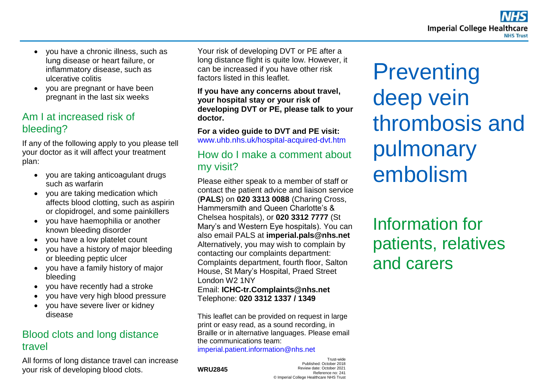- vou have a chronic illness, such as lung disease or heart failure, or inflammatory disease, such as ulcerative colitis
- you are pregnant or have been pregnant in the last six weeks

# Am I at increased risk of bleeding?

If any of the following apply to you please tell your doctor as it will affect your treatment plan:

- you are taking anticoagulant drugs such as warfarin
- you are taking medication which affects blood clotting, such as aspirin or clopidrogel, and some painkillers
- you have haemophilia or another known bleeding disorder
- you have a low platelet count
- you have a history of major bleeding or bleeding peptic ulcer
- you have a family history of major bleeding
- you have recently had a stroke
- you have very high blood pressure
- you have severe liver or kidney disease

# Blood clots and long distance travel

All forms of long distance travel can increase your risk of developing blood clots.

Your risk of developing DVT or PE after a long distance flight is quite low. However, it can be increased if you have other risk factors listed in this leaflet.

**If you have any concerns about travel, your hospital stay or your risk of developing DVT or PE, please talk to your doctor.** 

**For a video guide to DVT and PE visit:**  [www.uhb.nhs.uk/hospital-acquired-dvt.htm](http://www.uhb.nhs.uk/hospital-acquired-dvt.htm)

## How do I make a comment about my visit?

Please either speak to a member of staff or contact the patient advice and liaison service (**PALS**) on **020 3313 0088** (Charing Cross, Hammersmith and Queen Charlotte's & Chelsea hospitals), or **020 3312 7777** (St Mary's and Western Eye hospitals). You can also email PALS at **imperial.pals@nhs.net** Alternatively, you may wish to complain by contacting our complaints department: Complaints department, fourth floor, Salton House, St Mary's Hospital, Praed Street London W2 1NY Email: **ICHC-tr.Complaints@nhs.net** 

Telephone: **020 3312 1337 / 1349** 

This leaflet can be provided on request in large print or easy read, as a sound recording, in Braille or in alternative languages. Please email the communications team: [imperial.patient.information@nhs.net](mailto:imperial.patient.information@nhs.net)

**WRU2845**

Trust-wide Published: October 2018 Review date: October 2021 Reference no: 241 © Imperial College Healthcare NHS Trust

**Preventing** deep vein thrombosis and pulmonary embolism

Information for patients, relatives and carers